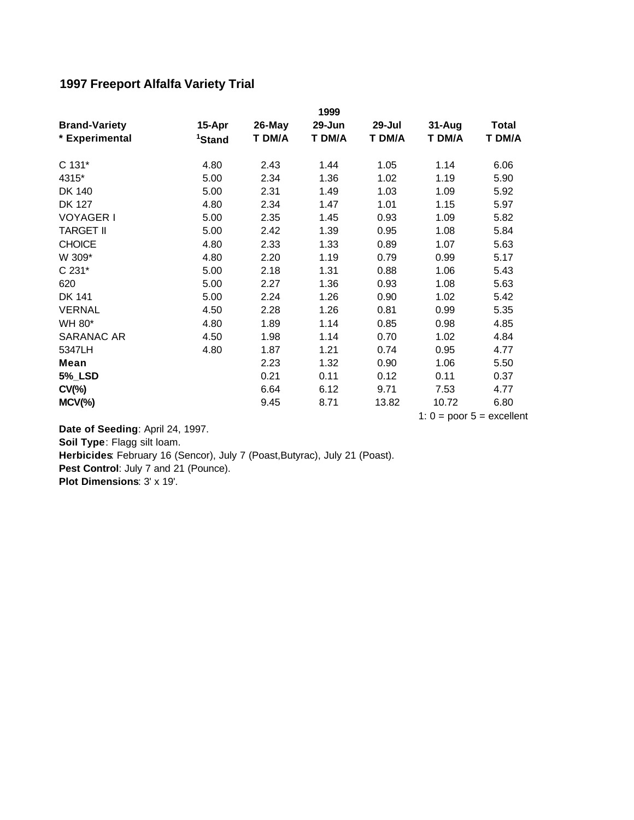## **1997 Freeport Alfalfa Variety Trial**

|                      |                    |        | 1999   |        |        |        |
|----------------------|--------------------|--------|--------|--------|--------|--------|
| <b>Brand-Variety</b> | 15-Apr             | 26-May | 29-Jun | 29-Jul | 31-Aug | Total  |
| * Experimental       | <sup>1</sup> Stand | T DM/A | T DM/A | T DM/A | T DM/A | T DM/A |
| C 131*               | 4.80               | 2.43   | 1.44   | 1.05   | 1.14   | 6.06   |
| 4315*                | 5.00               | 2.34   | 1.36   | 1.02   | 1.19   | 5.90   |
| DK 140               | 5.00               | 2.31   | 1.49   | 1.03   | 1.09   | 5.92   |
| <b>DK 127</b>        | 4.80               | 2.34   | 1.47   | 1.01   | 1.15   | 5.97   |
| <b>VOYAGER I</b>     | 5.00               | 2.35   | 1.45   | 0.93   | 1.09   | 5.82   |
| <b>TARGET II</b>     | 5.00               | 2.42   | 1.39   | 0.95   | 1.08   | 5.84   |
| <b>CHOICE</b>        | 4.80               | 2.33   | 1.33   | 0.89   | 1.07   | 5.63   |
| W 309*               | 4.80               | 2.20   | 1.19   | 0.79   | 0.99   | 5.17   |
| C 231*               | 5.00               | 2.18   | 1.31   | 0.88   | 1.06   | 5.43   |
| 620                  | 5.00               | 2.27   | 1.36   | 0.93   | 1.08   | 5.63   |
| <b>DK 141</b>        | 5.00               | 2.24   | 1.26   | 0.90   | 1.02   | 5.42   |
| <b>VERNAL</b>        | 4.50               | 2.28   | 1.26   | 0.81   | 0.99   | 5.35   |
| WH 80*               | 4.80               | 1.89   | 1.14   | 0.85   | 0.98   | 4.85   |
| SARANAC AR           | 4.50               | 1.98   | 1.14   | 0.70   | 1.02   | 4.84   |
| 5347LH               | 4.80               | 1.87   | 1.21   | 0.74   | 0.95   | 4.77   |
| Mean                 |                    | 2.23   | 1.32   | 0.90   | 1.06   | 5.50   |
| <b>5%_LSD</b>        |                    | 0.21   | 0.11   | 0.12   | 0.11   | 0.37   |
| $CV(\% )$            |                    | 6.64   | 6.12   | 9.71   | 7.53   | 4.77   |
| $MCV$ (%)            |                    | 9.45   | 8.71   | 13.82  | 10.72  | 6.80   |

1:  $0 = poor 5 = excellent$ 

Pest Control: July 7 and 21 (Pounce). **Plot Dimensions**: 3' x 19'. **Date of Seeding**: April 24, 1997. **Soil Type**: Flagg silt loam. **Herbicides**: February 16 (Sencor), July 7 (Poast,Butyrac), July 21 (Poast).